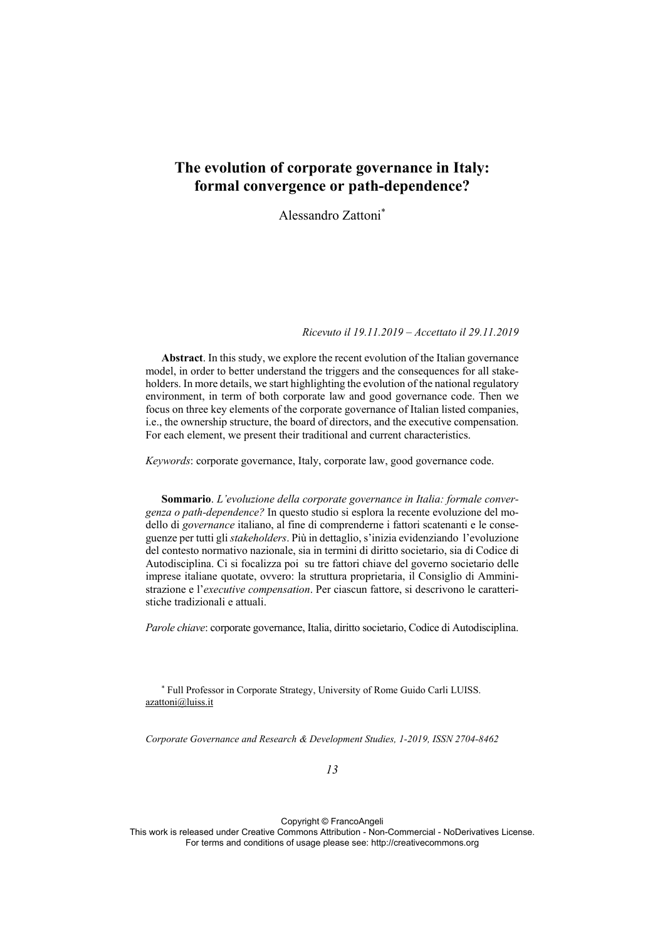# The evolution of corporate governance in Italy: **IFFORMILLE CONVETTED CONVETTS** OF path-dependence?

Alessandro Zattoni<sup>\*</sup>

*Ricevuto il 19.11.2019 – Accettato il 29.11.2019* 

Abstract. In this study, we explore the recent evolution of the Italian governance model, in order to better understand the triggers and the consequences for all stakeholders. In more details, we start highlighting the evolution of the national regulatory environment, in term of both corporate law and good governance code. Then we focus on three key elements of the corporate governance of Italian listed companies, i.e., the ownership structure, the board of directors, and the executive compensation. For each element, we present their traditional and current characteristics.

*Keywords*: corporate governance, Italy, corporate law, good governance code.

**Sommario**. L'evoluzione della corporate governance in Italia: formale convergenza o path-dependence? In questo studio si esplora la recente evoluzione del modello di governance italiano, al fine di comprenderne i fattori scatenanti e le conseguenze per tutti gli *stakeholders*. Più in dettaglio, s'inizia evidenziando l'evoluzione del contesto normativo nazionale, sia in termini di diritto societario, sia di Codice di Autodisciplina. Ci si focalizza poi su tre fattori chiave del governo societario delle imprese italiane quotate, ovvero: la struttura proprietaria, il Consiglio di Amministrazione e l'*executive compensation*. Per ciascun fattore, si descrivono le caratteristiche tradizionali e attuali.

Parole chiave: corporate governance, Italia, diritto societario, Codice di Autodisciplina.

 $*$  Full Professor in Corporate Strategy, University of Rome Guido Carli LUISS. azattoni@luiss.it

*Corporate Governance and Research & Development Studies, 1-2019, ISSN 2704-8462* 

Copyright © FrancoAngeli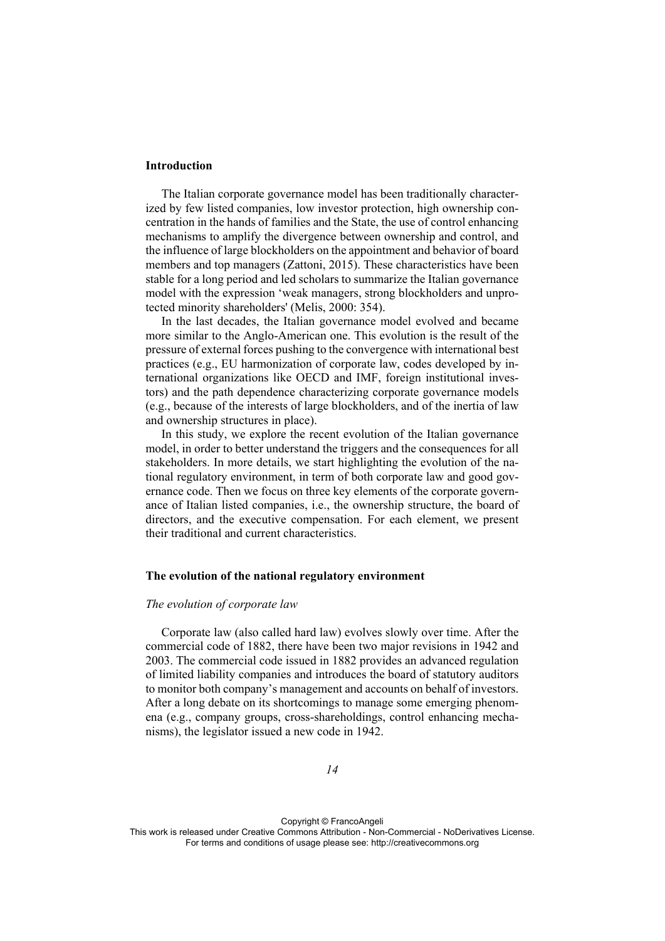#### Introduction

The Italian corporate governance model has been traditionally characterized by few listed companies, low investor protection, high ownership concentration in the hands of families and the State, the use of control enhancing mechanisms to amplify the divergence between ownership and control, and the influence of large blockholders on the appointment and behavior of board members and top managers (Zattoni, 2015). These characteristics have been stable for a long period and led scholars to summarize the Italian governance model with the expression 'weak managers, strong blockholders and unprotected minority shareholders' (Melis, 2000: 354).

In the last decades, the Italian governance model evolved and became more similar to the Anglo-American one. This evolution is the result of the pressure of external forces pushing to the convergence with international best practices (e.g., EU harmonization of corporate law, codes developed by international organizations like OECD and IMF, foreign institutional investors) and the path dependence characterizing corporate governance models (e.g., because of the interests of large blockholders, and of the inertia of law and ownership structures in place).

In this study, we explore the recent evolution of the Italian governance model, in order to better understand the triggers and the consequences for all stakeholders. In more details, we start highlighting the evolution of the national regulatory environment, in term of both corporate law and good governance code. Then we focus on three key elements of the corporate governance of Italian listed companies, *i.e.*, the ownership structure, the board of directors, and the executive compensation. For each element, we present their traditional and current characteristics.

#### The evolution of the national regulatory environment

### The evolution of corporate law

Corporate law (also called hard law) evolves slowly over time. After the commercial code of 1882, there have been two major revisions in 1942 and 2003. The commercial code issued in 1882 provides an advanced regulation of limited liability companies and introduces the board of statutory auditors to monitor both company's management and accounts on behalf of investors. After a long debate on its shortcomings to manage some emerging phenomena (e.g., company groups, cross-shareholdings, control enhancing mechanisms), the legislator issued a new code in 1942.

Copyright © FrancoAngeli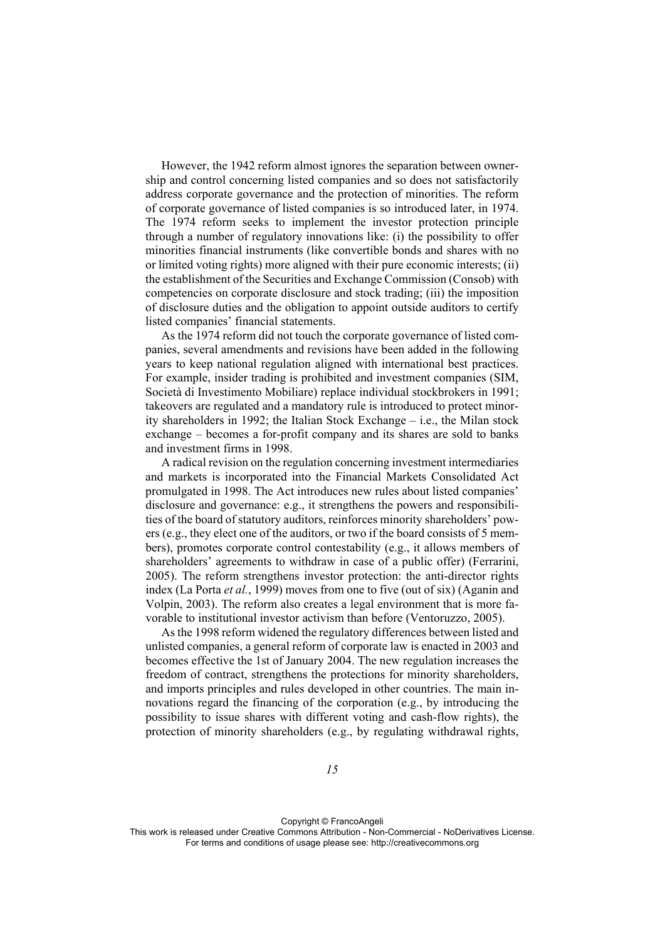However, the 1942 reform almost ignores the separation between ownership and control concerning listed companies and so does not satisfactorily address corporate governance and the protection of minorities. The reform of corporate governance of listed companies is so introduced later, in 1974. The 1974 reform seeks to implement the investor protection principle through a number of regulatory innovations like: (i) the possibility to offer minorities financial instruments (like convertible bonds and shares with no or limited voting rights) more aligned with their pure economic interests; (ii) the establishment of the Securities and Exchange Commission (Consob) with competencies on corporate disclosure and stock trading; (iii) the imposition of disclosure duties and the obligation to appoint outside auditors to certify listed companies' financial statements.

As the 1974 reform did not touch the corporate governance of listed companies, several amendments and revisions have been added in the following years to keep national regulation aligned with international best practices. For example, insider trading is prohibited and investment companies (SIM, Società di Investimento Mobiliare) replace individual stockbrokers in 1991; takeovers are regulated and a mandatory rule is introduced to protect minority shareholders in 1992; the Italian Stock Exchange – i.e., the Milan stock exchange – becomes a for-profit company and its shares are sold to banks and investment firms in 1998.

A radical revision on the regulation concerning investment intermediaries and markets is incorporated into the Financial Markets Consolidated Act promulgated in 1998. The Act introduces new rules about listed companies' disclosure and governance: e.g., it strengthens the powers and responsibilities of the board of statutory auditors, reinforces minority shareholders' powers (e.g., they elect one of the auditors, or two if the board consists of 5 members), promotes corporate control contestability (e.g., it allows members of shareholders' agreements to withdraw in case of a public offer) (Ferrarini, 2005). The reform strengthens investor protection: the anti-director rights index (La Porta et al., 1999) moves from one to five (out of six) (Aganin and Volpin, 2003). The reform also creates a legal environment that is more favorable to institutional investor activism than before (Ventoruzzo, 2005).

As the 1998 reform widened the regulatory differences between listed and unlisted companies, a general reform of corporate law is enacted in 2003 and becomes effective the 1st of January 2004. The new regulation increases the freedom of contract, strengthens the protections for minority shareholders, and imports principles and rules developed in other countries. The main innovations regard the financing of the corporation (e.g., by introducing the possibility to issue shares with different voting and cash-flow rights), the protection of minority shareholders (e.g., by regulating withdrawal rights,

Copyright © FrancoAngeli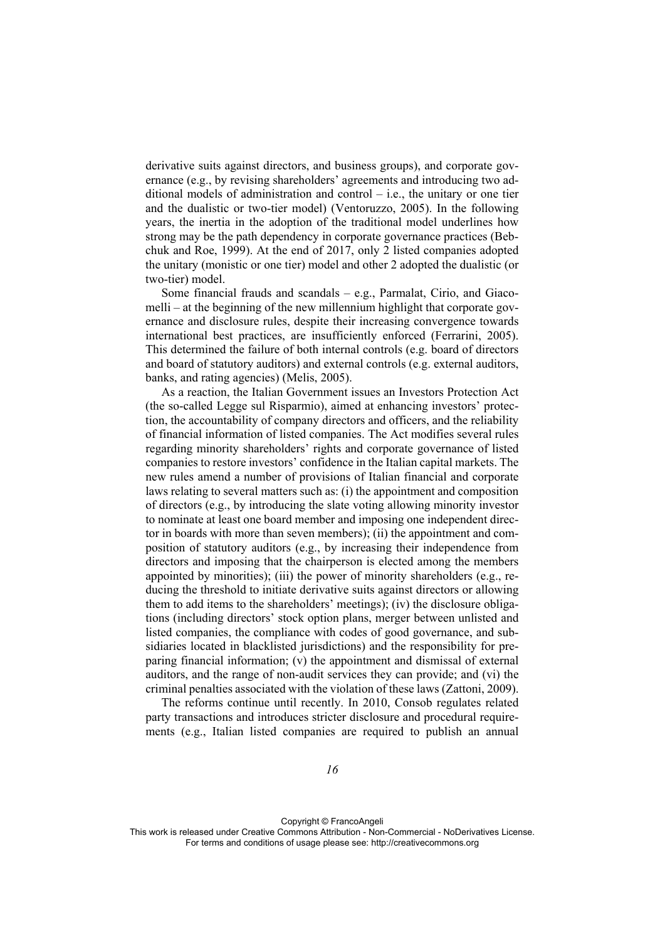derivative suits against directors, and business groups), and corporate governance (e.g., by revising shareholders' agreements and introducing two additional models of administration and control  $-$  i.e., the unitary or one tier and the dualistic or two-tier model) (Ventoruzzo, 2005). In the following years, the inertia in the adoption of the traditional model underlines how strong may be the path dependency in corporate governance practices (Bebchuk and Roe, 1999). At the end of 2017, only 2 listed companies adopted the unitary (monistic or one tier) model and other 2 adopted the dualistic (or two-tier) model.

Some financial frauds and scandals  $-$  e.g., Parmalat, Cirio, and Giaco $melli - at$  the beginning of the new millennium highlight that corporate governance and disclosure rules, despite their increasing convergence towards international best practices, are insufficiently enforced (Ferrarini, 2005). This determined the failure of both internal controls (e.g. board of directors and board of statutory auditors) and external controls (e.g. external auditors, banks, and rating agencies) (Melis, 2005).

As a reaction, the Italian Government issues an Investors Protection Act (the so-called Legge sul Risparmio), aimed at enhancing investors' protection, the accountability of company directors and officers, and the reliability of financial information of listed companies. The Act modifies several rules regarding minority shareholders' rights and corporate governance of listed companies to restore investors' confidence in the Italian capital markets. The new rules amend a number of provisions of Italian financial and corporate laws relating to several matters such as: (i) the appointment and composition of directors (e.g., by introducing the slate voting allowing minority investor to nominate at least one board member and imposing one independent director in boards with more than seven members); (ii) the appointment and composition of statutory auditors (e.g., by increasing their independence from directors and imposing that the chairperson is elected among the members appointed by minorities); (iii) the power of minority shareholders (e.g., reducing the threshold to initiate derivative suits against directors or allowing them to add items to the shareholders' meetings); (iv) the disclosure obligations (including directors' stock option plans, merger between unlisted and listed companies, the compliance with codes of good governance, and subsidiaries located in blacklisted jurisdictions) and the responsibility for preparing financial information; (v) the appointment and dismissal of external auditors, and the range of non-audit services they can provide; and (vi) the criminal penalties associated with the violation of these laws (Zattoni, 2009).

The reforms continue until recently. In 2010, Consob regulates related party transactions and introduces stricter disclosure and procedural requirements (e.g., Italian listed companies are required to publish an annual

Copyright © FrancoAngeli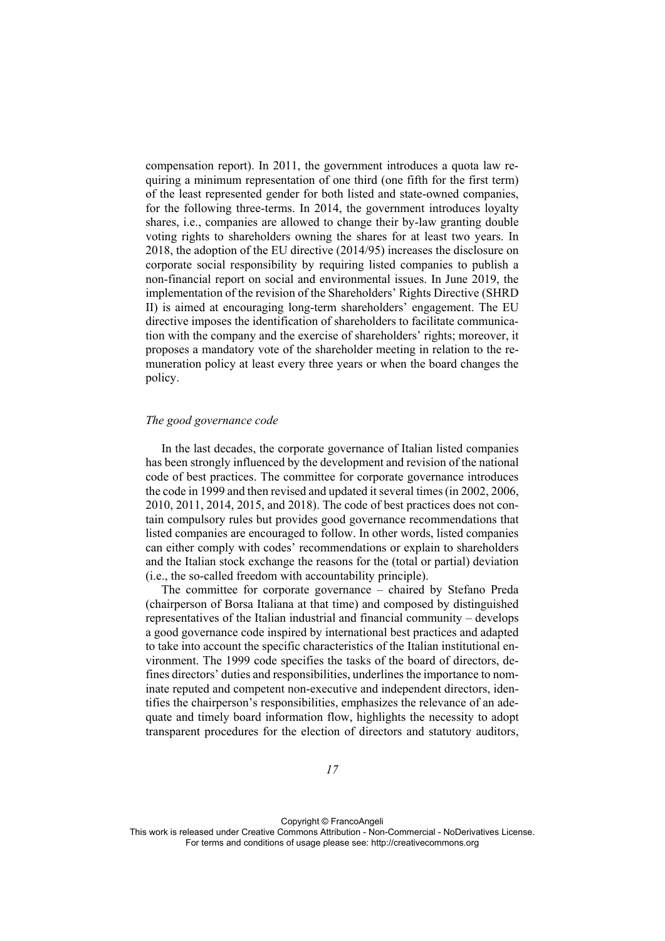compensation report). In 2011, the government introduces a quota law requiring a minimum representation of one third (one fifth for the first term) of the least represented gender for both listed and state-owned companies. for the following three-terms. In 2014, the government introduces loyalty shares, *i.e.*, companies are allowed to change their by-law granting double voting rights to shareholders owning the shares for at least two years. In 2018, the adoption of the EU directive (2014/95) increases the disclosure on corporate social responsibility by requiring listed companies to publish a non-financial report on social and environmental issues. In June 2019, the implementation of the revision of the Shareholders' Rights Directive (SHRD II) is aimed at encouraging long-term shareholders' engagement. The EU directive imposes the identification of shareholders to facilitate communication with the company and the exercise of shareholders' rights; moreover, it proposes a mandatory vote of the shareholder meeting in relation to the remuneration policy at least every three years or when the board changes the policy.

### The good governance code

In the last decades, the corporate governance of Italian listed companies has been strongly influenced by the development and revision of the national code of best practices. The committee for corporate governance introduces the code in 1999 and then revised and updated it several times (in 2002, 2006, 2010, 2011, 2014, 2015, and 2018). The code of best practices does not contain compulsory rules but provides good governance recommendations that listed companies are encouraged to follow. In other words, listed companies can either comply with codes' recommendations or explain to shareholders and the Italian stock exchange the reasons for the (total or partial) deviation (i.e., the so-called freedom with accountability principle).

The committee for corporate governance – chaired by Stefano Preda (chairperson of Borsa Italiana at that time) and composed by distinguished representatives of the Italian industrial and financial community – develops a good governance code inspired by international best practices and adapted to take into account the specific characteristics of the Italian institutional environment. The 1999 code specifies the tasks of the board of directors, defines directors' duties and responsibilities, underlines the importance to nominate reputed and competent non-executive and independent directors, identifies the chairperson's responsibilities, emphasizes the relevance of an adequate and timely board information flow, highlights the necessity to adopt transparent procedures for the election of directors and statutory auditors,

Copyright © FrancoAngeli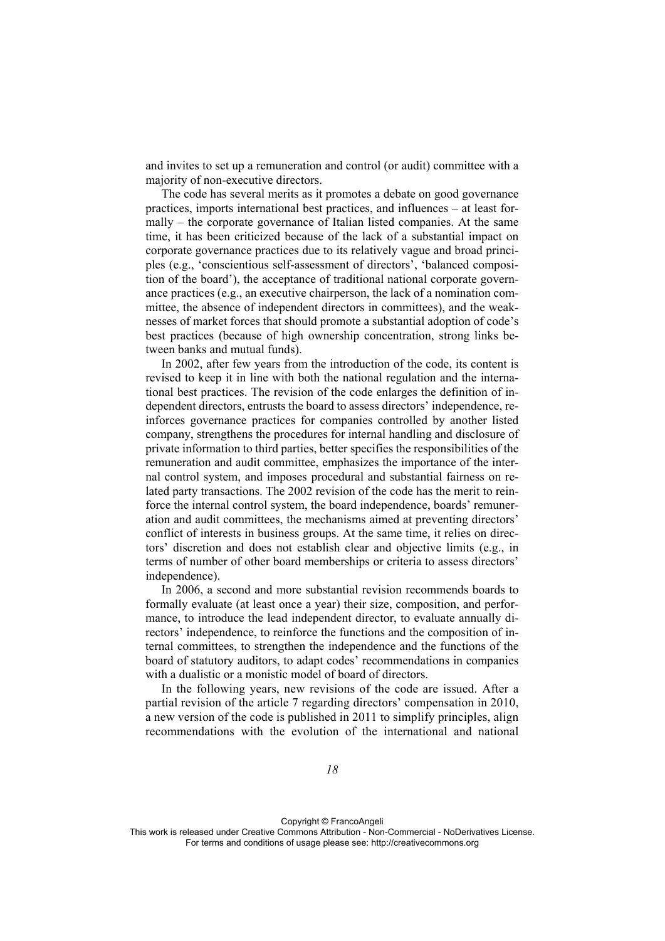and invites to set up a remuneration and control (or audit) committee with a majority of non-executive directors.

The code has several merits as it promotes a debate on good governance practices, imports international best practices, and influences – at least for $mally$  – the corporate governance of Italian listed companies. At the same time, it has been criticized because of the lack of a substantial impact on corporate governance practices due to its relatively vague and broad principles (e.g., 'conscientious self-assessment of directors', 'balanced composition of the board'), the acceptance of traditional national corporate governance practices (e.g., an executive chairperson, the lack of a nomination committee, the absence of independent directors in committees), and the weaknesses of market forces that should promote a substantial adoption of code's best practices (because of high ownership concentration, strong links between banks and mutual funds).

In 2002, after few years from the introduction of the code, its content is revised to keep it in line with both the national regulation and the international best practices. The revision of the code enlarges the definition of independent directors, entrusts the board to assess directors' independence, reinforces governance practices for companies controlled by another listed company, strengthens the procedures for internal handling and disclosure of private information to third parties, better specifies the responsibilities of the remuneration and audit committee, emphasizes the importance of the internal control system, and imposes procedural and substantial fairness on related party transactions. The 2002 revision of the code has the merit to reinforce the internal control system, the board independence, boards' remuneration and audit committees, the mechanisms aimed at preventing directors' conflict of interests in business groups. At the same time, it relies on directors' discretion and does not establish clear and objective limits (e.g., in terms of number of other board memberships or criteria to assess directors' independence).

In 2006, a second and more substantial revision recommends boards to formally evaluate (at least once a year) their size, composition, and performance, to introduce the lead independent director, to evaluate annually directors' independence, to reinforce the functions and the composition of internal committees, to strengthen the independence and the functions of the board of statutory auditors, to adapt codes' recommendations in companies with a dualistic or a monistic model of board of directors.

In the following years, new revisions of the code are issued. After a partial revision of the article 7 regarding directors' compensation in 2010, a new version of the code is published in 2011 to simplify principles, align recommendations with the evolution of the international and national

Copyright © FrancoAngeli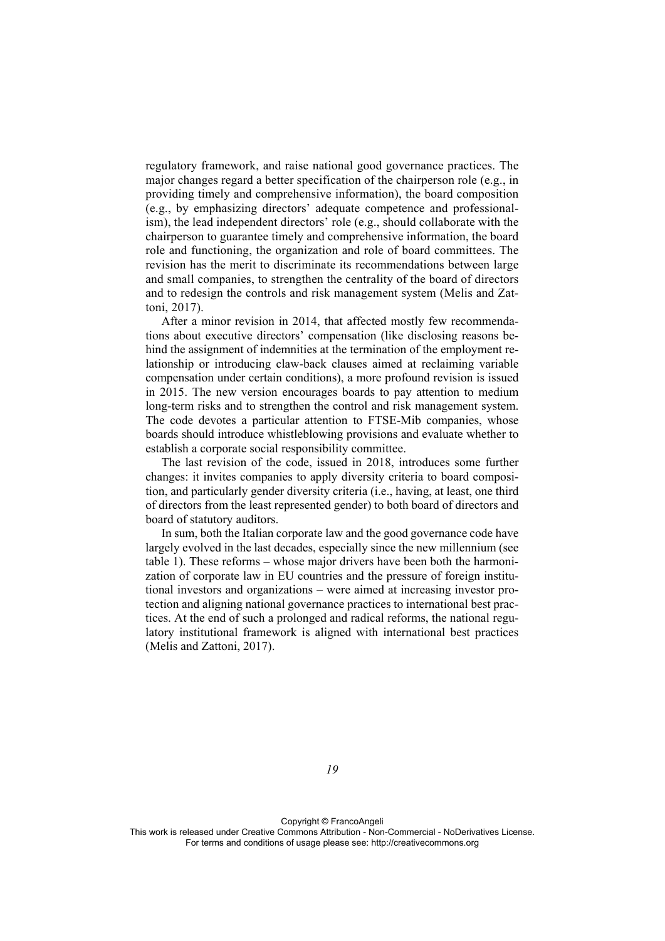regulatory framework, and raise national good governance practices. The major changes regard a better specification of the chairperson role (e.g., in providing timely and comprehensive information), the board composition (e.g., by emphasizing directors' adequate competence and professionalism), the lead independent directors' role (e.g., should collaborate with the chairperson to guarantee timely and comprehensive information, the board role and functioning, the organization and role of board committees. The revision has the merit to discriminate its recommendations between large and small companies, to strengthen the centrality of the board of directors and to redesign the controls and risk management system (Melis and Zattoni, 2017).

After a minor revision in 2014, that affected mostly few recommendations about executive directors' compensation (like disclosing reasons behind the assignment of indemnities at the termination of the employment relationship or introducing claw-back clauses aimed at reclaiming variable compensation under certain conditions), a more profound revision is issued in 2015. The new version encourages boards to pay attention to medium long-term risks and to strengthen the control and risk management system. The code devotes a particular attention to FTSE-Mib companies, whose boards should introduce whistleblowing provisions and evaluate whether to establish a corporate social responsibility committee.

The last revision of the code, issued in 2018, introduces some further changes: it invites companies to apply diversity criteria to board composition, and particularly gender diversity criteria (i.e., having, at least, one third of directors from the least represented gender) to both board of directors and board of statutory auditors.

In sum, both the Italian corporate law and the good governance code have largely evolved in the last decades, especially since the new millennium (see table 1). These reforms – whose major drivers have been both the harmonization of corporate law in EU countries and the pressure of foreign institutional investors and organizations – were aimed at increasing investor protection and aligning national governance practices to international best practices. At the end of such a prolonged and radical reforms, the national regulatory institutional framework is aligned with international best practices (Melis and Zattoni, 2017).

19

Copyright © FrancoAngeli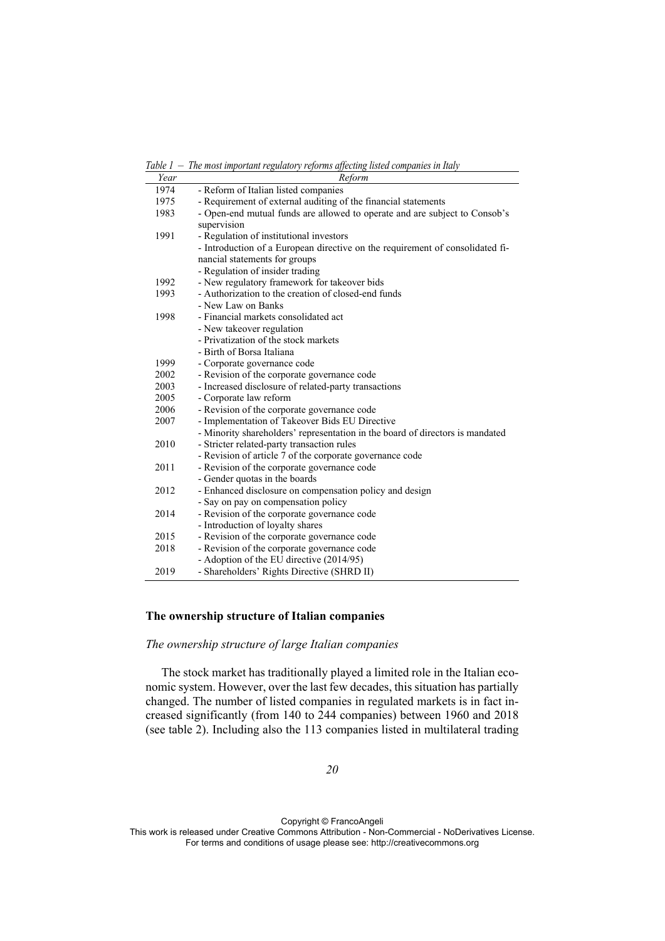Table  $1$  – The most important regulatory reforms affecting listed companies in Italy

| Year | Reform                                                                        |
|------|-------------------------------------------------------------------------------|
| 1974 | - Reform of Italian listed companies                                          |
| 1975 | - Requirement of external auditing of the financial statements                |
| 1983 | - Open-end mutual funds are allowed to operate and are subject to Consob's    |
|      | supervision                                                                   |
| 1991 | - Regulation of institutional investors                                       |
|      | - Introduction of a European directive on the requirement of consolidated fi- |
|      | nancial statements for groups                                                 |
|      | - Regulation of insider trading                                               |
| 1992 | - New regulatory framework for takeover bids                                  |
| 1993 | - Authorization to the creation of closed-end funds                           |
|      | - New Law on Banks                                                            |
| 1998 | - Financial markets consolidated act                                          |
|      | - New takeover regulation                                                     |
|      | - Privatization of the stock markets                                          |
|      | - Birth of Borsa Italiana                                                     |
| 1999 | - Corporate governance code                                                   |
| 2002 | - Revision of the corporate governance code                                   |
| 2003 | - Increased disclosure of related-party transactions                          |
| 2005 | - Corporate law reform                                                        |
| 2006 | - Revision of the corporate governance code                                   |
| 2007 | - Implementation of Takeover Bids EU Directive                                |
|      | - Minority shareholders' representation in the board of directors is mandated |
| 2010 | - Stricter related-party transaction rules                                    |
|      | - Revision of article 7 of the corporate governance code                      |
| 2011 | - Revision of the corporate governance code                                   |
|      | - Gender quotas in the boards                                                 |
| 2012 | - Enhanced disclosure on compensation policy and design                       |
|      | - Say on pay on compensation policy                                           |
| 2014 | - Revision of the corporate governance code                                   |
|      | - Introduction of loyalty shares                                              |
| 2015 | - Revision of the corporate governance code                                   |
| 2018 | - Revision of the corporate governance code                                   |
|      | - Adoption of the EU directive (2014/95)                                      |
| 2019 | - Shareholders' Rights Directive (SHRD II)                                    |

#### The ownership structure of Italian companies

The ownership structure of large Italian companies

The stock market has traditionally played a limited role in the Italian economic system. However, over the last few decades, this situation has partially changed. The number of listed companies in regulated markets is in fact increased significantly (from 140 to 244 companies) between 1960 and 2018 (see table 2). Including also the 113 companies listed in multilateral trading

Copyright © FrancoAngeli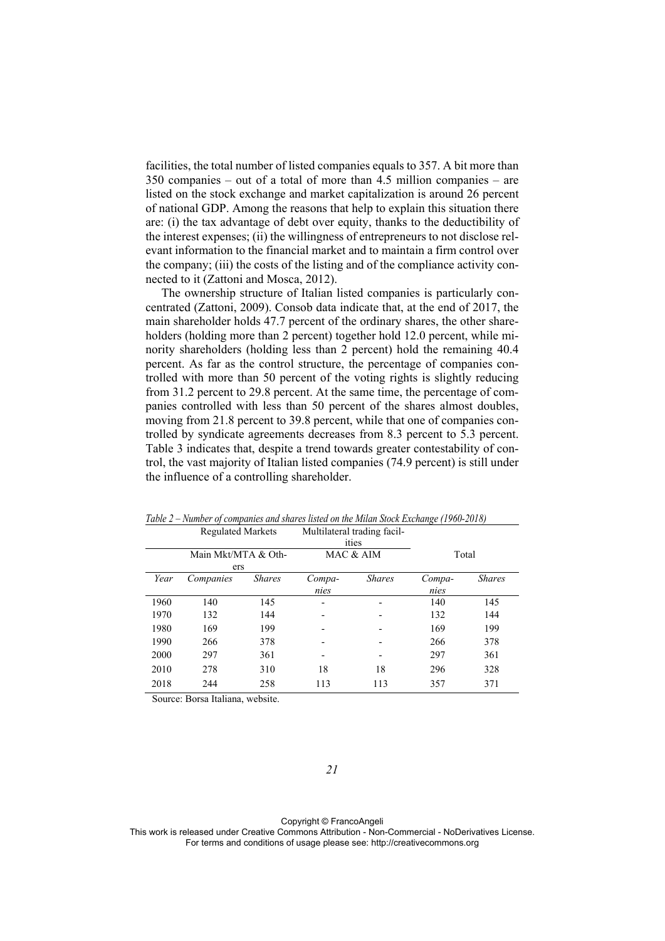facilities, the total number of listed companies equals to 357. A bit more than  $350$  companies – out of a total of more than 4.5 million companies – are listed on the stock exchange and market capitalization is around 26 percent of national GDP. Among the reasons that help to explain this situation there are: (i) the tax advantage of debt over equity, thanks to the deductibility of the interest expenses; (ii) the willingness of entrepreneurs to not disclose relevant information to the financial market and to maintain a firm control over the company; (iii) the costs of the listing and of the compliance activity connected to it (Zattoni and Mosca, 2012).

The ownership structure of Italian listed companies is particularly concentrated (Zattoni, 2009). Consob data indicate that, at the end of 2017, the main shareholder holds 47.7 percent of the ordinary shares, the other shareholders (holding more than 2 percent) together hold 12.0 percent, while minority shareholders (holding less than 2 percent) hold the remaining 40.4 percent. As far as the control structure, the percentage of companies controlled with more than 50 percent of the voting rights is slightly reducing from 31.2 percent to 29.8 percent. At the same time, the percentage of companies controlled with less than 50 percent of the shares almost doubles, moving from 21.8 percent to 39.8 percent, while that one of companies controlled by syndicate agreements decreases from  $8.3$  percent to  $5.3$  percent. Table 3 indicates that, despite a trend towards greater contestability of control, the vast majority of Italian listed companies (74.9 percent) is still under the influence of a controlling shareholder.

|      | Regulated Markets<br>Multilateral trading facil-<br>ities |               |                |               |                |               |  |
|------|-----------------------------------------------------------|---------------|----------------|---------------|----------------|---------------|--|
|      | Main Mkt/MTA & Oth-<br>ers                                |               |                | MAC & AIM     | Total          |               |  |
| Year | Companies                                                 | <b>Shares</b> | Compa-<br>nies | <b>Shares</b> | Compa-<br>nies | <b>Shares</b> |  |
| 1960 | 140                                                       | 145           |                |               | 140            | 145           |  |
| 1970 | 132                                                       | 144           |                |               | 132            | 144           |  |
| 1980 | 169                                                       | 199           |                |               | 169            | 199           |  |
| 1990 | 266                                                       | 378           |                |               | 266            | 378           |  |
| 2000 | 297                                                       | 361           |                |               | 297            | 361           |  |
| 2010 | 278                                                       | 310           | 18             | 18            | 296            | 328           |  |
| 2018 | 244                                                       | 258           | 113            | 113           | 357            | 371           |  |

Table 2 - Number of companies and shares listed on the Milan Stock Exchange (1960-2018)  $1.3.5 \pm 1.$  $34.11$ 

Source: Borsa Italiana, website.

Copyright © FrancoAngeli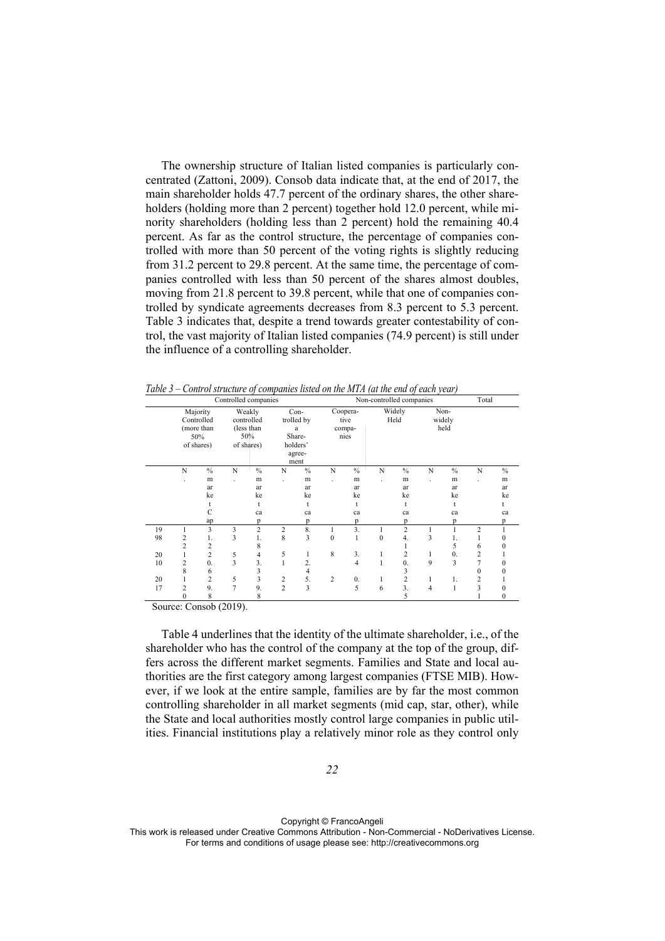The ownership structure of Italian listed companies is particularly concentrated (Zattoni, 2009). Consob data indicate that, at the end of 2017, the main shareholder holds 47.7 percent of the ordinary shares, the other shareholders (holding more than 2 percent) together hold 12.0 percent, while minority shareholders (holding less than 2 percent) hold the remaining 40.4 percent. As far as the control structure, the percentage of companies controlled with more than 50 percent of the voting rights is slightly reducing from 31.2 percent to 29.8 percent. At the same time, the percentage of companies controlled with less than 50 percent of the shares almost doubles. moving from 21.8 percent to 39.8 percent, while that one of companies controlled by syndicate agreements decreases from 8.3 percent to 5.3 percent. Table 3 indicates that, despite a trend towards greater contestability of control, the vast majority of Italian listed companies (74.9 percent) is still under the influence of a controlling shareholder.

|    |              | Controlled companies                                                                                                 |   |                |                                                                                                       |                |              |                                          | Non-controlled companies |                |    |               |                | Total         |
|----|--------------|----------------------------------------------------------------------------------------------------------------------|---|----------------|-------------------------------------------------------------------------------------------------------|----------------|--------------|------------------------------------------|--------------------------|----------------|----|---------------|----------------|---------------|
|    |              | Majority<br>Weakly<br>Controlled<br>controlled<br>(more than<br>(less than<br>50%<br>50%<br>of shares)<br>of shares) |   |                | Con-<br>Coopera-<br>trolled by<br>tive<br>compa-<br>a<br>Share-<br>nies<br>holders'<br>agree-<br>ment |                |              | Widely<br>Non-<br>Held<br>widely<br>held |                          |                |    |               |                |               |
|    | N            | $\frac{0}{0}$                                                                                                        | N | $\frac{0}{0}$  | N                                                                                                     | $\frac{0}{0}$  | N            | $\frac{0}{0}$                            | N                        | $\frac{0}{0}$  | N  | $\frac{0}{0}$ | N              | $\frac{0}{0}$ |
|    | $\epsilon$   | m                                                                                                                    |   | m              |                                                                                                       | m              | J.           | m                                        | ä,                       | m              | ä, | m             | ł.             | m             |
|    |              | ar                                                                                                                   |   | ar             |                                                                                                       | ar             |              | ar                                       |                          | ar             |    | ar            |                | ar            |
|    |              | ke                                                                                                                   |   | ke             |                                                                                                       | ke             |              | ke                                       |                          | ke             |    | ke            |                | ke            |
|    |              |                                                                                                                      |   |                |                                                                                                       |                |              |                                          |                          | t              |    |               |                | t             |
|    |              | C                                                                                                                    |   | ca             |                                                                                                       | ca             |              | ca                                       |                          | ca             |    | ca            |                | ca            |
|    |              | ap                                                                                                                   |   | p              |                                                                                                       | p              |              | p                                        |                          | p              |    | p             |                | p             |
| 19 | 1            | 3                                                                                                                    | 3 | $\overline{c}$ | 2                                                                                                     | 8.             | 1            | $\overline{3}$ .                         | 1                        | $\overline{c}$ |    |               | $\overline{c}$ |               |
| 98 | 2            | 1.                                                                                                                   | 3 | 1.             | 8                                                                                                     | 3              | $\mathbf{0}$ | $\mathbf{1}$                             | $\mathbf{0}$             | 4.             | 3  | 1.            |                |               |
|    | 2            | 2                                                                                                                    |   | 8              |                                                                                                       |                |              |                                          |                          |                |    | 5             | 6              |               |
| 20 |              | 2                                                                                                                    | 5 | 4              | 5                                                                                                     | 1              | 8            | 3.                                       |                          | 2              |    | 0.            | 2              |               |
| 10 | 2            | 0.                                                                                                                   | 3 | 3.             |                                                                                                       | 2.             |              | $\overline{4}$                           |                          | 0.             | 9  | 3             |                |               |
|    | 8            | 6                                                                                                                    |   | 3              |                                                                                                       | $\overline{4}$ |              |                                          |                          | 3              |    |               | $^{\circ}$     |               |
| 20 |              | 2                                                                                                                    | 5 | 3              | 2                                                                                                     | 5.             | 2            | $\mathbf{0}$ .                           | 1                        | $\overline{c}$ |    | 1.            | 2              |               |
| 17 | 2            | 9.                                                                                                                   | 7 | 9.             | $\overline{c}$                                                                                        | $\overline{3}$ |              | 5                                        | 6                        | 3.             | 4  | $\mathbf{1}$  | 3              |               |
|    | $\mathbf{0}$ | 8                                                                                                                    |   | 8              |                                                                                                       |                |              |                                          |                          | 5              |    |               |                | 0             |

Table 3 – Control structure of companies listed on the MTA (at the end of each vear)

Source: Consob (2019).

Table 4 underlines that the identity of the ultimate shareholder, i.e., of the shareholder who has the control of the company at the top of the group, differs across the different market segments. Families and State and local authorities are the first category among largest companies (FTSE MIB). However, if we look at the entire sample, families are by far the most common controlling shareholder in all market segments (mid cap, star, other), while the State and local authorities mostly control large companies in public utilities. Financial institutions play a relatively minor role as they control only

Copyright © FrancoAngeli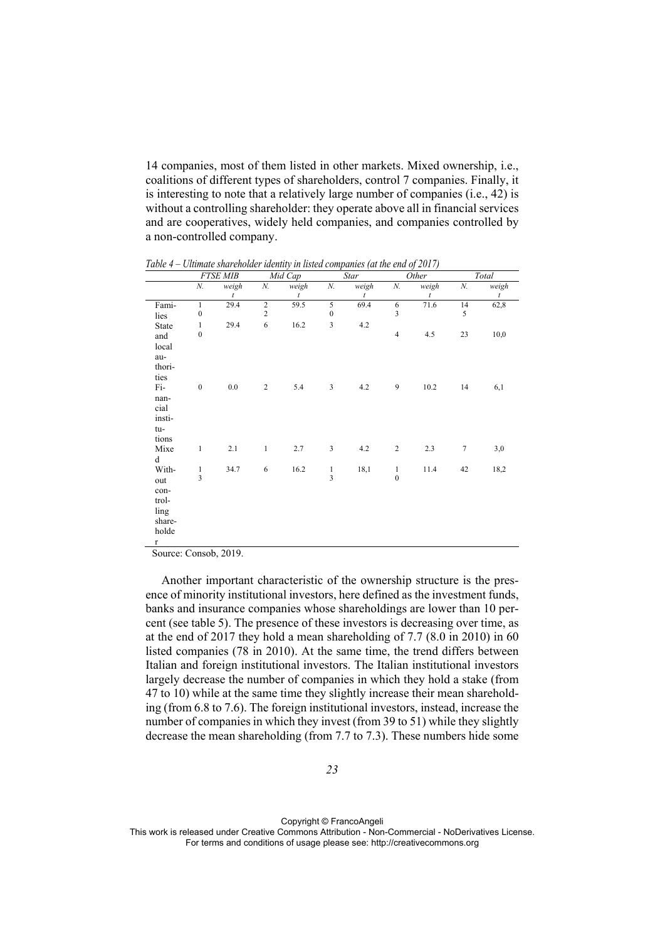14 companies, most of them listed in other markets. Mixed ownership, i.e., coalitions of different types of shareholders, control 7 companies. Finally, it is interesting to note that a relatively large number of companies  $(i.e., 42)$  is without a controlling shareholder: they operate above all in financial services and are cooperatives, widely held companies, and companies controlled by a non-controlled company.

*FTSE MIB Mid Cap Star Other Total N. weigh t N. weigh t N. weigh t N. weigh t N. weigh t*  Families  $\mathbf{1}$  $\mathbf{0}$ 29.4 2  $\overline{c}$  $59.5$  5  $\overline{0}$  $69.4$  6  $\overline{\mathbf{3}}$ 71.6 14 5 62,8 State and local authorities  $\overline{1}$  $\theta$ 29.4 6 16.2 3 4.2  $4 \t 4.5 \t 23 \t 10.0$  $Fi$ nancial insti. tutions 0 0.0 2 5.4 3 4.2 9 10.2 14 6,1 Mixe G 1 2.1 1 2.7 3 4.2 2 2.3 7 3,0 Without controlling shareholde U  $\mathbf{1}$  $\overline{\mathbf{3}}$ 34.7 6 16.2 1  $\overline{\mathbf{3}}$  $18.1 \t 1$  $\Omega$ 11.4 42 18.2

Table 4 – Ultimate shareholder identity in listed companies (at the end of 2017)

Source: Consob, 2019.

Another important characteristic of the ownership structure is the presence of minority institutional investors, here defined as the investment funds, banks and insurance companies whose shareholdings are lower than 10 percent (see table 5). The presence of these investors is decreasing over time, as at the end of 2017 they hold a mean shareholding of 7.7  $(8.0 \text{ in } 2010)$  in 60 listed companies (78 in 2010). At the same time, the trend differs between Italian and foreign institutional investors. The Italian institutional investors largely decrease the number of companies in which they hold a stake (from 47 to 10) while at the same time they slightly increase their mean shareholding (from  $6.8$  to  $7.6$ ). The foreign institutional investors, instead, increase the number of companies in which they invest (from 39 to 51) while they slightly decrease the mean shareholding (from 7.7 to 7.3). These numbers hide some

Copyright © FrancoAngeli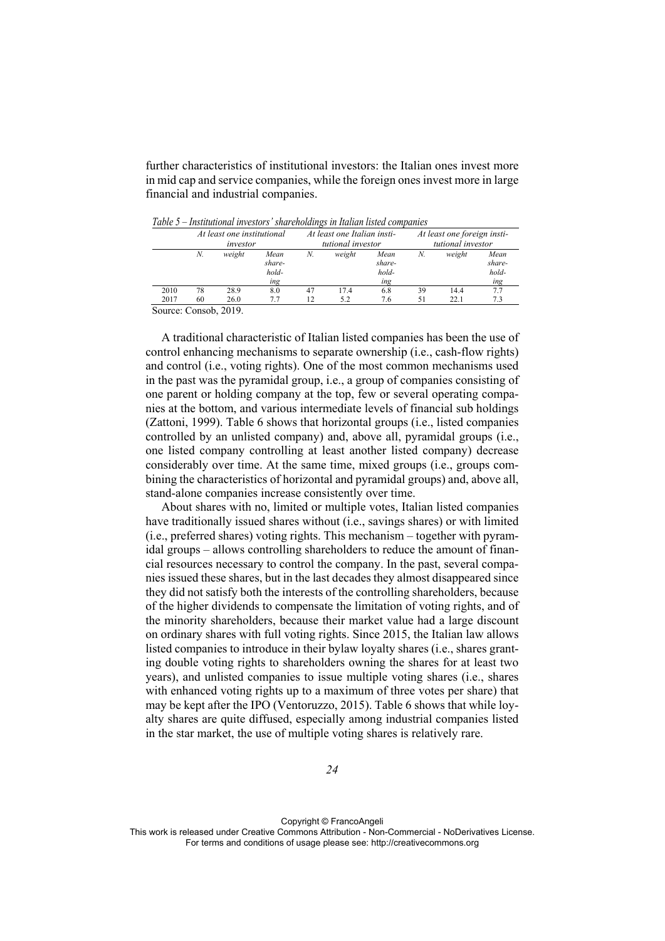further characteristics of institutional investors: the Italian ones invest more in mid cap and service companies, while the foreign ones invest more in large financial and industrial companies.

| N.<br>weight<br>N.<br>weight<br>Mean<br>weight<br>Mean<br>N.<br>share-<br>share-<br>hold-<br>hold-<br>ing<br>ing<br>28.9<br>2010<br>78<br>6.8<br>39<br>47<br>17.4<br>14.4<br>8.0 |      |    | At least one institutional<br>investor |     |    | At least one Italian insti-<br>tutional investor |     |  | At least one foreign insti-<br>tutional investor |                                |  |
|----------------------------------------------------------------------------------------------------------------------------------------------------------------------------------|------|----|----------------------------------------|-----|----|--------------------------------------------------|-----|--|--------------------------------------------------|--------------------------------|--|
|                                                                                                                                                                                  |      |    |                                        |     |    |                                                  |     |  |                                                  | Mean<br>share-<br>hold-<br>ing |  |
|                                                                                                                                                                                  | 2017 | 60 | 26.0                                   | 7.7 | 12 | 5.2                                              | 7.6 |  | 22.1                                             | 7.7<br>7.3                     |  |

*Table 5 ࣓ Institutional investors' shareholdings in Italian listed companies* 

Source: Consob. 2019.

A traditional characteristic of Italian listed companies has been the use of control enhancing mechanisms to separate ownership (i.e., cash-flow rights) and control (i.e., voting rights). One of the most common mechanisms used in the past was the pyramidal group, i.e., a group of companies consisting of one parent or holding company at the top, few or several operating companies at the bottom, and various intermediate levels of financial sub holdings (Zattoni, 1999). Table 6 shows that horizontal groups (i.e., listed companies controlled by an unlisted company) and, above all, pyramidal groups (i.e., one listed company controlling at least another listed company) decrease considerably over time. At the same time, mixed groups (i.e., groups combining the characteristics of horizontal and pyramidal groups) and, above all, stand-alone companies increase consistently over time.

About shares with no, limited or multiple votes, Italian listed companies have traditionally issued shares without (i.e., savings shares) or with limited  $(i.e., preferred shares)$  voting rights. This mechanism – together with pyramidal groups – allows controlling shareholders to reduce the amount of financial resources necessary to control the company. In the past, several companies issued these shares, but in the last decades they almost disappeared since they did not satisfy both the interests of the controlling shareholders, because of the higher dividends to compensate the limitation of voting rights, and of the minority shareholders, because their market value had a large discount on ordinary shares with full voting rights. Since 2015, the Italian law allows listed companies to introduce in their bylaw loyalty shares (i.e., shares granting double voting rights to shareholders owning the shares for at least two years), and unlisted companies to issue multiple voting shares (i.e., shares with enhanced voting rights up to a maximum of three votes per share) that may be kept after the IPO (Ventoruzzo, 2015). Table 6 shows that while loyalty shares are quite diffused, especially among industrial companies listed in the star market, the use of multiple voting shares is relatively rare.

Copyright © FrancoAngeli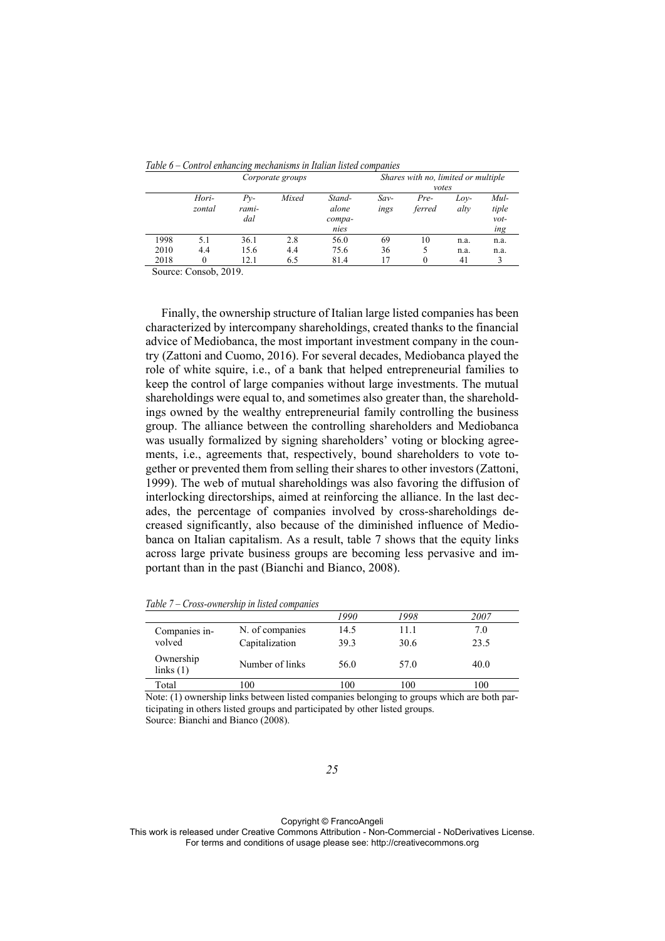| 1 WU V V |                 |                           |       | Common Chancelong mechanismis in Italian noted companies |              |                |              |                                 |
|----------|-----------------|---------------------------|-------|----------------------------------------------------------|--------------|----------------|--------------|---------------------------------|
|          |                 | Corporate groups          |       | Shares with no, limited or multiple                      |              |                |              |                                 |
|          |                 |                           |       |                                                          |              | votes          |              |                                 |
|          | Hori-<br>zontal | $P_{V^-}$<br>rami-<br>dal | Mixed | Stand-<br>alone<br>compa-<br>nies                        | Sav-<br>ings | Pre-<br>ferred | Lov-<br>alty | Mul-<br>tiple<br>$vot -$<br>ing |
| 1998     | 5.1             | 36.1                      | 2.8   | 56.0                                                     | 69           | 10             | n.a.         | n.a.                            |
| 2010     | 4.4             | 15.6                      | 4.4   | 75.6                                                     | 36           |                | n.a.         | n.a.                            |
| 2018     |                 | 12.1                      | 6.5   | 81.4                                                     | 17           | 0              | 41           |                                 |

Table 6 – Control enhancing mechanisms in Italian listed companies

Source: Consob, 2019.

Finally, the ownership structure of Italian large listed companies has been characterized by intercompany shareholdings, created thanks to the financial advice of Mediobanca, the most important investment company in the country (Zattoni and Cuomo, 2016). For several decades, Mediobanca played the role of white squire, *i.e.*, of a bank that helped entrepreneurial families to keep the control of large companies without large investments. The mutual shareholdings were equal to, and sometimes also greater than, the shareholdings owned by the wealthy entrepreneurial family controlling the business group. The alliance between the controlling shareholders and Mediobanca was usually formalized by signing shareholders' voting or blocking agreements, i.e., agreements that, respectively, bound shareholders to vote together or prevented them from selling their shares to other investors (Zattoni, 1999). The web of mutual shareholdings was also favoring the diffusion of interlocking directorships, aimed at reinforcing the alliance. In the last decades, the percentage of companies involved by cross-shareholdings decreased significantly, also because of the diminished influence of Mediobanca on Italian capitalism. As a result, table 7 shows that the equity links across large private business groups are becoming less pervasive and important than in the past (Bianchi and Bianco, 2008).

Table 7 – Cross-ownership in listed companies

|                          |                 | 1990 | 1998 | 2007 |
|--------------------------|-----------------|------|------|------|
| Companies in-<br>volved  | N. of companies | 14.5 | 11.1 | 7.0  |
|                          | Capitalization  | 39.3 | 30.6 | 23.5 |
| Ownership<br>links $(1)$ | Number of links | 56.0 | 57.0 | 40.0 |
| Total                    | 00              | 00   | 100  | 00   |

Note: (1) ownership links between listed companies belonging to groups which are both participating in others listed groups and participated by other listed groups. Source: Bianchi and Bianco (2008).

Copyright © FrancoAngeli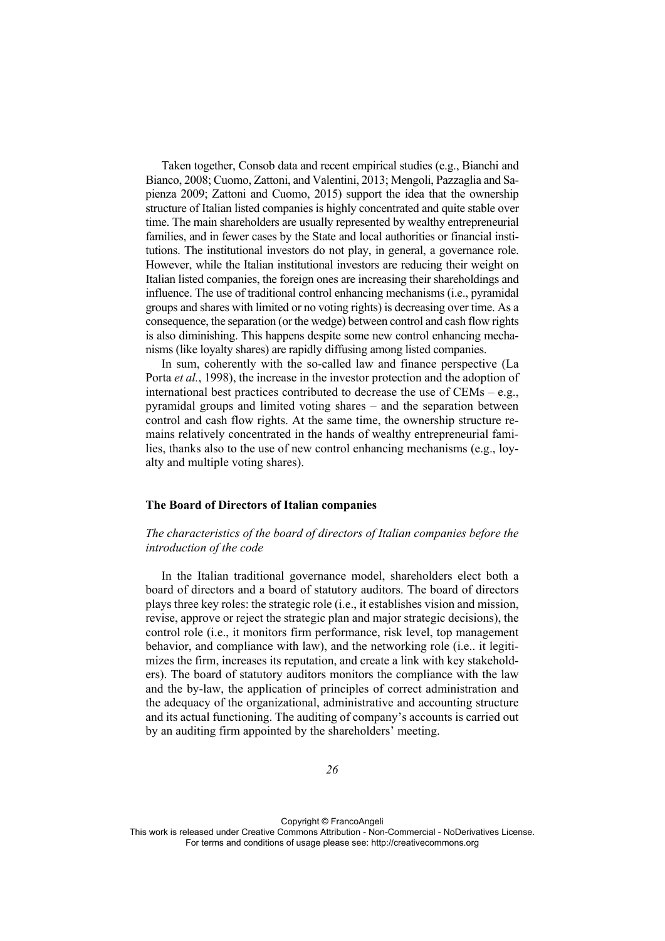Taken together, Consob data and recent empirical studies (e.g., Bianchi and Bianco, 2008; Cuomo, Zattoni, and Valentini, 2013; Mengoli, Pazzaglia and Sapienza 2009; Zattoni and Cuomo, 2015) support the idea that the ownership structure of Italian listed companies is highly concentrated and quite stable over time. The main shareholders are usually represented by wealthy entrepreneurial families, and in fewer cases by the State and local authorities or financial institutions. The institutional investors do not play, in general, a governance role. However, while the Italian institutional investors are reducing their weight on Italian listed companies, the foreign ones are increasing their shareholdings and influence. The use of traditional control enhancing mechanisms (i.e., pyramidal groups and shares with limited or no voting rights) is decreasing over time. As a consequence, the separation (or the wedge) between control and cash flow rights is also diminishing. This happens despite some new control enhancing mechanisms (like loyalty shares) are rapidly diffusing among listed companies.

In sum, coherently with the so-called law and finance perspective (La Porta et al., 1998), the increase in the investor protection and the adoption of international best practices contributed to decrease the use of  $CEMs - e.g.,$ pyramidal groups and limited voting shares – and the separation between control and cash flow rights. At the same time, the ownership structure remains relatively concentrated in the hands of wealthy entrepreneurial families, thanks also to the use of new control enhancing mechanisms (e.g., loyalty and multiple voting shares).

#### The Board of Directors of Italian companies

## The characteristics of the board of directors of Italian companies before the introduction of the code

In the Italian traditional governance model, shareholders elect both a board of directors and a board of statutory auditors. The board of directors plays three key roles: the strategic role (i.e., it establishes vision and mission, revise, approve or reject the strategic plan and major strategic decisions), the control role (*i.e.*, *it monitors firm performance*, *risk level*, *top management* behavior, and compliance with law), and the networking role (i.e., it legitimizes the firm, increases its reputation, and create a link with key stakeholders). The board of statutory auditors monitors the compliance with the law and the by-law, the application of principles of correct administration and the adequacy of the organizational, administrative and accounting structure and its actual functioning. The auditing of company's accounts is carried out by an auditing firm appointed by the shareholders' meeting.

Copyright © FrancoAngeli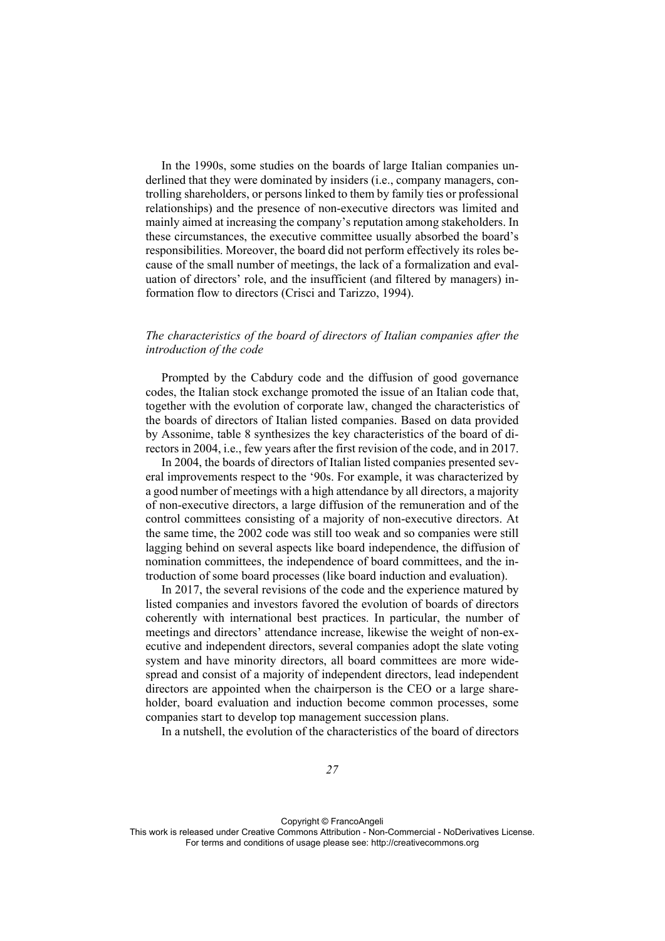In the 1990s, some studies on the boards of large Italian companies underlined that they were dominated by insiders (i.e., company managers, controlling shareholders, or persons linked to them by family ties or professional relationships) and the presence of non-executive directors was limited and mainly aimed at increasing the company's reputation among stakeholders. In these circumstances, the executive committee usually absorbed the board's responsibilities. Moreover, the board did not perform effectively its roles because of the small number of meetings, the lack of a formalization and evaluation of directors' role, and the insufficient (and filtered by managers) information flow to directors (Crisci and Tarizzo, 1994).

## *The characteristics of the board of directors of Italian companies after the introduction of the code*

Prompted by the Cabdury code and the diffusion of good governance codes, the Italian stock exchange promoted the issue of an Italian code that, together with the evolution of corporate law, changed the characteristics of the boards of directors of Italian listed companies. Based on data provided by Assonime, table 8 synthesizes the key characteristics of the board of directors in 2004, i.e., few years after the first revision of the code, and in 2017.

In 2004, the boards of directors of Italian listed companies presented several improvements respect to the '90s. For example, it was characterized by a good number of meetings with a high attendance by all directors, a majority of non-executive directors, a large diffusion of the remuneration and of the control committees consisting of a majority of non-executive directors. At the same time, the 2002 code was still too weak and so companies were still lagging behind on several aspects like board independence, the diffusion of nomination committees, the independence of board committees, and the introduction of some board processes (like board induction and evaluation).

In 2017, the several revisions of the code and the experience matured by listed companies and investors favored the evolution of boards of directors coherently with international best practices. In particular, the number of meetings and directors' attendance increase, likewise the weight of non-executive and independent directors, several companies adopt the slate voting system and have minority directors, all board committees are more widespread and consist of a majority of independent directors, lead independent directors are appointed when the chairperson is the CEO or a large shareholder, board evaluation and induction become common processes, some companies start to develop top management succession plans.

In a nutshell, the evolution of the characteristics of the board of directors

Copyright © FrancoAngeli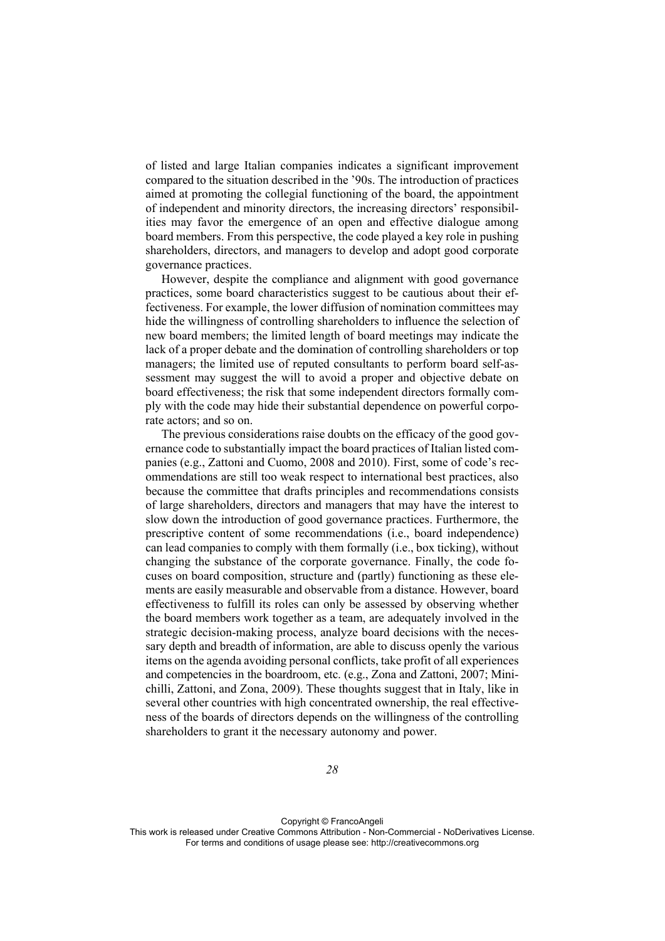of listed and large Italian companies indicates a significant improvement compared to the situation described in the '90s. The introduction of practices aimed at promoting the collegial functioning of the board, the appointment of independent and minority directors, the increasing directors' responsibilities may favor the emergence of an open and effective dialogue among board members. From this perspective, the code played a key role in pushing shareholders, directors, and managers to develop and adopt good corporate governance practices.

However, despite the compliance and alignment with good governance practices, some board characteristics suggest to be cautious about their effectiveness. For example, the lower diffusion of nomination committees may hide the willingness of controlling shareholders to influence the selection of new board members; the limited length of board meetings may indicate the lack of a proper debate and the domination of controlling shareholders or top managers; the limited use of reputed consultants to perform board self-assessment may suggest the will to avoid a proper and objective debate on board effectiveness; the risk that some independent directors formally comply with the code may hide their substantial dependence on powerful corporate actors; and so on.

The previous considerations raise doubts on the efficacy of the good governance code to substantially impact the board practices of Italian listed companies (e.g., Zattoni and Cuomo, 2008 and 2010). First, some of code's recommendations are still too weak respect to international best practices, also because the committee that drafts principles and recommendations consists of large shareholders, directors and managers that may have the interest to slow down the introduction of good governance practices. Furthermore, the prescriptive content of some recommendations (i.e., board independence) can lead companies to comply with them formally (i.e., box ticking), without changing the substance of the corporate governance. Finally, the code focuses on board composition, structure and (partly) functioning as these elements are easily measurable and observable from a distance. However, board effectiveness to fulfill its roles can only be assessed by observing whether the board members work together as a team, are adequately involved in the strategic decision-making process, analyze board decisions with the necessary depth and breadth of information, are able to discuss openly the various items on the agenda avoiding personal conflicts, take profit of all experiences and competencies in the boardroom, etc. (e.g., Zona and Zattoni, 2007; Minichilli, Zattoni, and Zona, 2009). These thoughts suggest that in Italy, like in several other countries with high concentrated ownership, the real effectiveness of the boards of directors depends on the willingness of the controlling shareholders to grant it the necessary autonomy and power.

Copyright © FrancoAngeli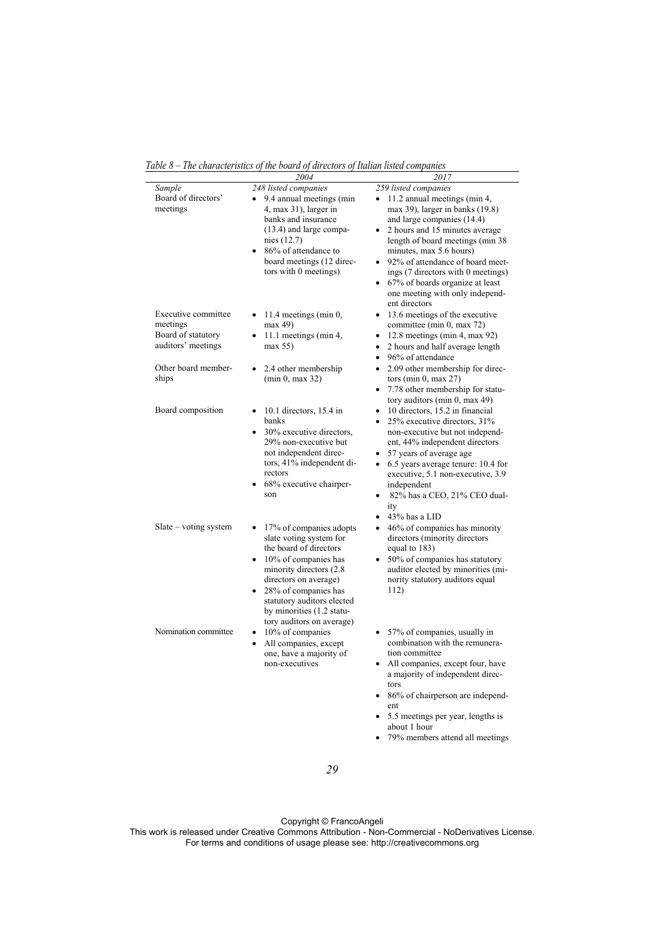Table 8 - The characteristics of the board of directors of Italian listed companies

| Sample                                                                      | 2004<br>248 listed companies                                                                                                                                                                                                                                             | 2017<br>259 listed companies                                                                                                                                                                                                                                                                                                                                                      |
|-----------------------------------------------------------------------------|--------------------------------------------------------------------------------------------------------------------------------------------------------------------------------------------------------------------------------------------------------------------------|-----------------------------------------------------------------------------------------------------------------------------------------------------------------------------------------------------------------------------------------------------------------------------------------------------------------------------------------------------------------------------------|
| Board of directors'<br>meetings                                             | 9.4 annual meetings (min<br>$\bullet$<br>4, max 31), larger in<br>banks and insurance<br>(13.4) and large compa-<br>nies $(12.7)$<br>• 86% of attendance to<br>board meetings (12 direc-<br>tors with 0 meetings)                                                        | 11.2 annual meetings (min 4,<br>$\bullet$<br>max 39), larger in banks $(19.8)$<br>and large companies (14.4)<br>2 hours and 15 minutes average<br>length of board meetings (min 38)<br>minutes, max 5.6 hours)<br>• 92% of attendance of board meet-<br>ings (7 directors with 0 meetings)<br>67% of boards organize at least<br>one meeting with only independ-<br>ent directors |
| Executive committee<br>meetings<br>Board of statutory<br>auditors' meetings | 11.4 meetings (min $0$ ,<br>max 49)<br>$\bullet$ 11.1 meetings (min 4,<br>max 55                                                                                                                                                                                         | 13.6 meetings of the executive<br>$\bullet$<br>committee (min 0, max 72)<br>12.8 meetings (min 4, max 92)<br>٠<br>2 hours and half average length<br>٠<br>96% of attendance<br>$\bullet$                                                                                                                                                                                          |
| Other board member-<br>ships                                                | 2.4 other membership<br>(min 0, max 32)                                                                                                                                                                                                                                  | 2.09 other membership for direc-<br>tors (min $0$ , max $27$ )<br>7.78 other membership for statu-<br>$\bullet$<br>tory auditors (min 0, max 49)                                                                                                                                                                                                                                  |
| Board composition                                                           | 10.1 directors, $15.4$ in<br>banks<br>• 30% executive directors,<br>29% non-executive but<br>not independent direc-<br>tors, 41% independent di-<br>rectors<br>68% executive chairper-<br>son                                                                            | 10 directors, 15.2 in financial<br>25% executive directors, 31%<br>non-executive but not independ-<br>ent, 44% independent directors<br>57 years of average age<br>6.5 years average tenure: 10.4 for<br>$\bullet$<br>executive, 5.1 non-executive, 3.9<br>independent<br>82% has a CEO, 21% CEO dual-<br>$\bullet$<br>ity<br>$\bullet$ 43% has a LID                             |
| $Slate - voting system$                                                     | 17% of companies adopts<br>slate voting system for<br>the board of directors<br>10% of companies has<br>minority directors (2.8<br>directors on average)<br>28% of companies has<br>statutory auditors elected<br>by minorities (1.2 statu-<br>tory auditors on average) | 46% of companies has minority<br>directors (minority directors<br>equal to 183)<br>50% of companies has statutory<br>auditor elected by minorities (mi-<br>nority statutory auditors equal<br>112)                                                                                                                                                                                |
| Nomination committee                                                        | $\bullet$ 10% of companies<br>All companies, except<br>$\bullet$<br>one, have a majority of<br>non-executives                                                                                                                                                            | 57% of companies, usually in<br>$\bullet$<br>combination with the remunera-<br>tion committee<br>All companies, except four, have<br>a majority of independent direc-<br>tors<br>86% of chairperson are independ-<br>ent<br>5.5 meetings per year, lengths is<br>about 1 hour<br>79% members attend all meetings                                                                  |

29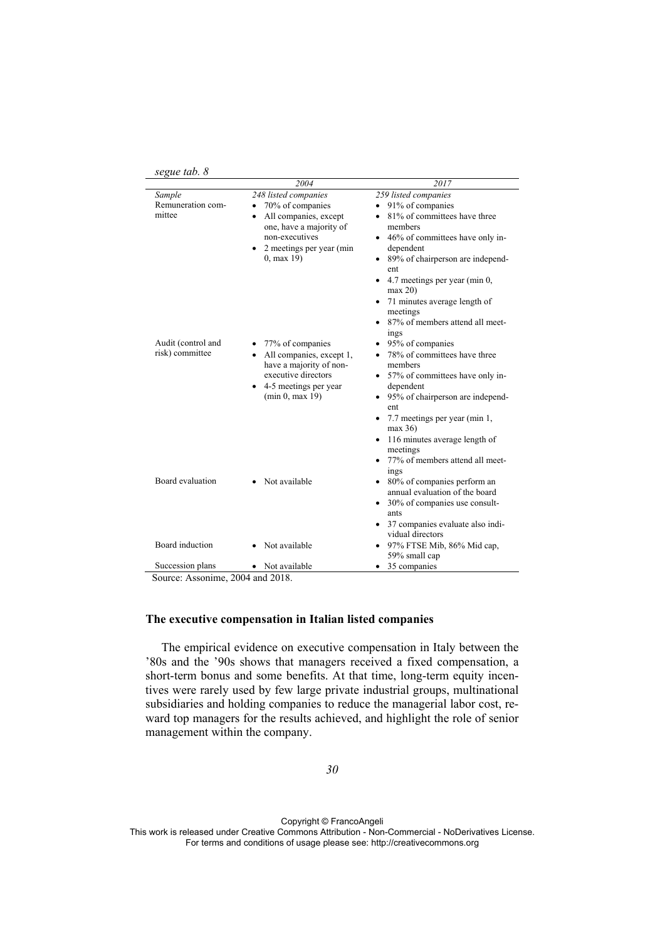| segue tah. |  |  |
|------------|--|--|
|------------|--|--|

|                                       | 2004                                                                                                                                                                      | 2017                                                                                                                                                                                                                                                                                                     |
|---------------------------------------|---------------------------------------------------------------------------------------------------------------------------------------------------------------------------|----------------------------------------------------------------------------------------------------------------------------------------------------------------------------------------------------------------------------------------------------------------------------------------------------------|
| Sample<br>Remuneration com-<br>mittee | 248 listed companies<br>70% of companies<br>All companies, except<br>one, have a majority of<br>non-executives<br>$\bullet$ 2 meetings per year (min)<br>$0$ , max $19$ ) | 259 listed companies<br>91% of companies<br>81% of committees have three<br>members<br>46% of committees have only in-<br>dependent<br>89% of chairperson are independ-<br>ent<br>4.7 meetings per year (min 0,<br>max 20<br>71 minutes average length of<br>meetings<br>87% of members attend all meet- |
| Audit (control and<br>risk) committee | • 77% of companies<br>All companies, except 1,<br>have a majority of non-<br>executive directors<br>4-5 meetings per year<br>(min 0, max 19)                              | ings<br>95% of companies<br>78% of committees have three<br>members<br>57% of committees have only in-<br>dependent<br>95% of chairperson are independ-<br>٠<br>ent<br>7.7 meetings per year (min 1,<br>٠<br>max 36                                                                                      |
| Board evaluation                      | Not available                                                                                                                                                             | 116 minutes average length of<br>meetings<br>77% of members attend all meet-<br>ings<br>80% of companies perform an<br>annual evaluation of the board<br>30% of companies use consult-<br>ants<br>37 companies evaluate also indi-<br>vidual directors                                                   |
| Board induction                       | Not available                                                                                                                                                             | 97% FTSE Mib, 86% Mid cap,<br>59% small cap                                                                                                                                                                                                                                                              |
| Succession plans                      | Not available<br>$\sim$ $\sim$ $\sim$                                                                                                                                     | 35 companies                                                                                                                                                                                                                                                                                             |

Source: Assonime, 2004 and 2018.

### The executive compensation in Italian listed companies

The empirical evidence on executive compensation in Italy between the '80s and the '90s shows that managers received a fixed compensation, a short-term bonus and some benefits. At that time, long-term equity incentives were rarely used by few large private industrial groups, multinational subsidiaries and holding companies to reduce the managerial labor cost, reward top managers for the results achieved, and highlight the role of senior management within the company.

Copyright © FrancoAngeli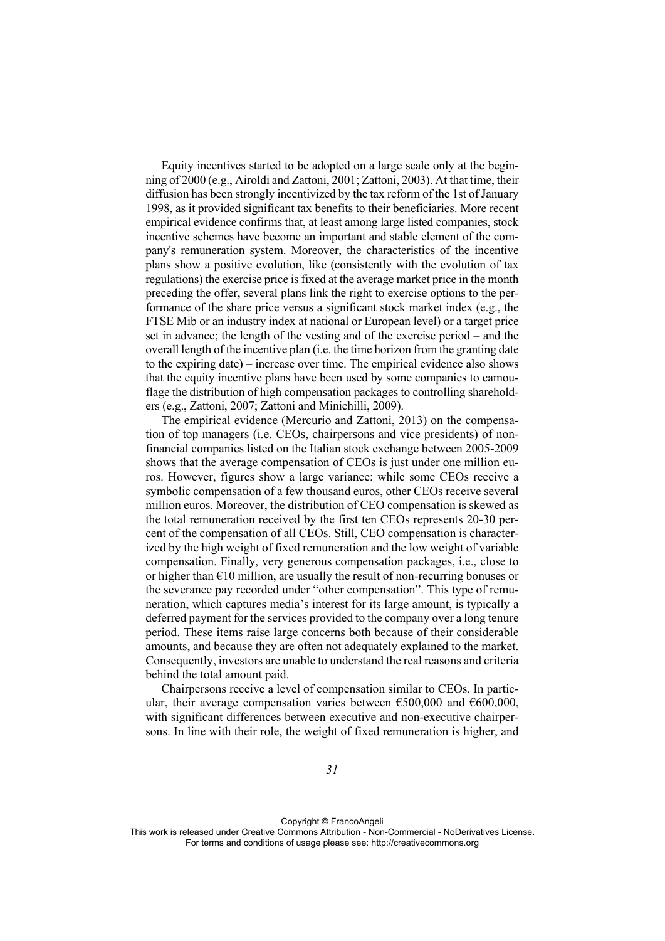Equity incentives started to be adopted on a large scale only at the beginning of 2000 (e.g., Airoldi and Zattoni, 2001; Zattoni, 2003). At that time, their diffusion has been strongly incentivized by the tax reform of the 1st of January 1998, as it provided significant tax benefits to their beneficiaries. More recent empirical evidence confirms that, at least among large listed companies, stock incentive schemes have become an important and stable element of the company's remuneration system. Moreover, the characteristics of the incentive plans show a positive evolution, like (consistently with the evolution of tax regulations) the exercise price is fixed at the average market price in the month preceding the offer, several plans link the right to exercise options to the performance of the share price versus a significant stock market index (e.g., the FTSE Mib or an industry index at national or European level) or a target price set in advance; the length of the vesting and of the exercise period – and the overall length of the incentive plan (i.e. the time horizon from the granting date to the expiring date) – increase over time. The empirical evidence also shows that the equity incentive plans have been used by some companies to camouflage the distribution of high compensation packages to controlling shareholders (e.g., Zattoni, 2007; Zattoni and Minichilli, 2009).

The empirical evidence (Mercurio and Zattoni, 2013) on the compensation of top managers (i.e. CEOs, chairpersons and vice presidents) of nonfinancial companies listed on the Italian stock exchange between 2005-2009 shows that the average compensation of CEOs is just under one million euros. However, figures show a large variance: while some CEOs receive a symbolic compensation of a few thousand euros, other CEOs receive several million euros. Moreover, the distribution of CEO compensation is skewed as the total remuneration received by the first ten CEOs represents 20-30 percent of the compensation of all CEOs. Still, CEO compensation is characterized by the high weight of fixed remuneration and the low weight of variable compensation. Finally, very generous compensation packages, *i.e.*, close to or higher than  $\epsilon$ 10 million, are usually the result of non-recurring bonuses or the severance pay recorded under "other compensation". This type of remuneration, which captures media's interest for its large amount, is typically a deferred payment for the services provided to the company over a long tenure period. These items raise large concerns both because of their considerable amounts, and because they are often not adequately explained to the market. Consequently, investors are unable to understand the real reasons and criteria behind the total amount paid.

Chairpersons receive a level of compensation similar to CEOs. In particular, their average compensation varies between  $\epsilon$ 500,000 and  $\epsilon$ 600,000, with significant differences between executive and non-executive chairpersons. In line with their role, the weight of fixed remuneration is higher, and

Copyright © FrancoAngeli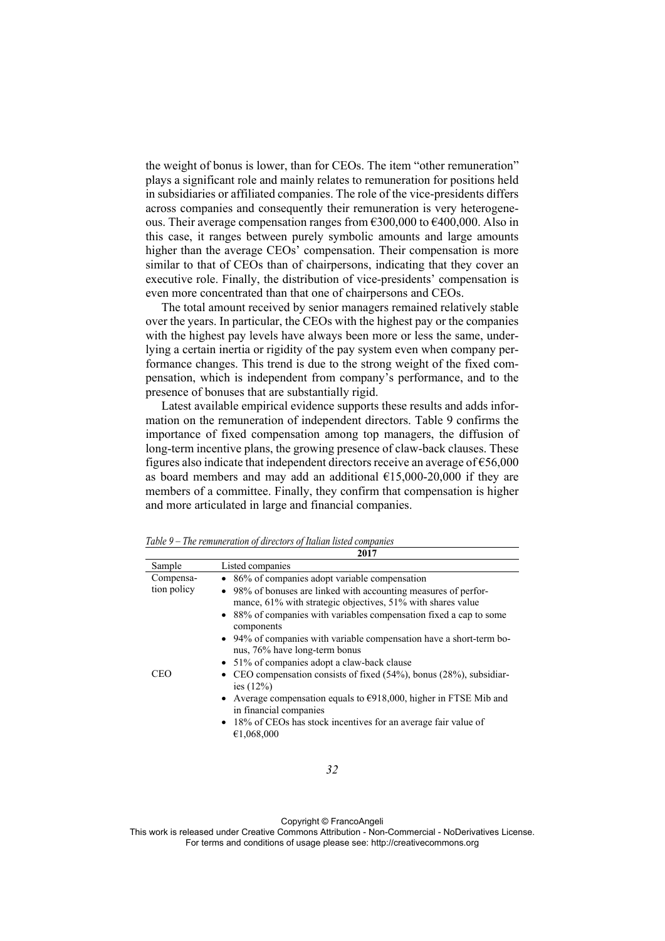the weight of bonus is lower, than for CEOs. The item "other remuneration" plays a significant role and mainly relates to remuneration for positions held in subsidiaries or affiliated companies. The role of the vice-presidents differs across companies and consequently their remuneration is very heterogeneous. Their average compensation ranges from  $\epsilon$ 300,000 to  $\epsilon$ 400,000. Also in this case, it ranges between purely symbolic amounts and large amounts higher than the average CEOs' compensation. Their compensation is more similar to that of CEOs than of chairpersons, indicating that they cover an executive role. Finally, the distribution of vice-presidents' compensation is even more concentrated than that one of chairpersons and CEOs.

The total amount received by senior managers remained relatively stable over the years. In particular, the CEOs with the highest pay or the companies with the highest pay levels have always been more or less the same, underlying a certain inertia or rigidity of the pay system even when company performance changes. This trend is due to the strong weight of the fixed compensation, which is independent from company's performance, and to the presence of bonuses that are substantially rigid.

Latest available empirical evidence supports these results and adds information on the remuneration of independent directors. Table 9 confirms the importance of fixed compensation among top managers, the diffusion of long-term incentive plans, the growing presence of claw-back clauses. These figures also indicate that independent directors receive an average of  $\epsilon$ 56,000 as board members and may add an additional  $\epsilon$ 15,000-20,000 if they are members of a committee. Finally, they confirm that compensation is higher and more articulated in large and financial companies.

|             | 2017                                                                                                  |
|-------------|-------------------------------------------------------------------------------------------------------|
| Sample      | Listed companies                                                                                      |
| Compensa-   | • 86% of companies adopt variable compensation                                                        |
| tion policy | • 98% of bonuses are linked with accounting measures of perfor-                                       |
|             | mance, 61% with strategic objectives, 51% with shares value                                           |
|             | • 88% of companies with variables compensation fixed a cap to some<br>components                      |
|             | • 94% of companies with variable compensation have a short-term bo-<br>nus, 76% have long-term bonus  |
|             | • 51% of companies adopt a claw-back clause                                                           |
| CEO         | • CEO compensation consists of fixed (54%), bonus (28%), subsidiar-<br>ies $(12%)$                    |
|             | • Average compensation equals to $\epsilon$ 918,000, higher in FTSE Mib and<br>in financial companies |
|             | • 18% of CEOs has stock incentives for an average fair value of<br>€1,068,000                         |

Table 9 – The remuneration of directors of Italian listed companies

32

Copyright © FrancoAngeli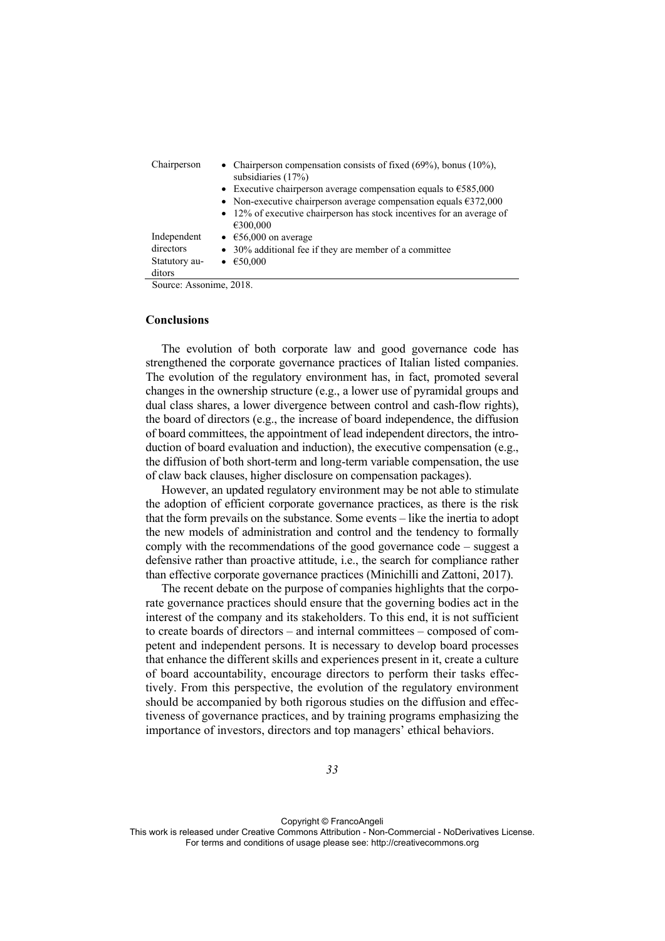| Chairperson             | • Chairperson compensation consists of fixed $(69\%)$ , bonus $(10\%)$ ,<br>subsidiaries $(17%)$ |
|-------------------------|--------------------------------------------------------------------------------------------------|
|                         | • Executive chairperson average compensation equals to $\epsilon$ 585,000                        |
|                         | • Non-executive chairperson average compensation equals $\epsilon$ 372,000                       |
|                         | • 12% of executive chairperson has stock incentives for an average of<br>€300,000                |
| Independent             | $\bullet$ $\epsilon$ 56,000 on average                                                           |
| directors               | • 30% additional fee if they are member of a committee                                           |
| Statutory au-<br>ditors | $\bullet$ $\epsilon$ 50,000                                                                      |

Source: Assonime, 2018.

#### **Conclusions**

The evolution of both corporate law and good governance code has strengthened the corporate governance practices of Italian listed companies. The evolution of the regulatory environment has, in fact, promoted several changes in the ownership structure (e.g., a lower use of pyramidal groups and dual class shares, a lower divergence between control and cash-flow rights), the board of directors (e.g., the increase of board independence, the diffusion of board committees, the appointment of lead independent directors, the introduction of board evaluation and induction), the executive compensation (e.g., the diffusion of both short-term and long-term variable compensation, the use of claw back clauses, higher disclosure on compensation packages).

However, an updated regulatory environment may be not able to stimulate the adoption of efficient corporate governance practices, as there is the risk that the form prevails on the substance. Some events - like the inertia to adopt the new models of administration and control and the tendency to formally comply with the recommendations of the good governance code  $-$  suggest a defensive rather than proactive attitude, *i.e.*, the search for compliance rather than effective corporate governance practices (Minichilli and Zattoni, 2017).

The recent debate on the purpose of companies highlights that the corporate governance practices should ensure that the governing bodies act in the interest of the company and its stakeholders. To this end, it is not sufficient to create boards of directors – and internal committees – composed of competent and independent persons. It is necessary to develop board processes that enhance the different skills and experiences present in it, create a culture of board accountability, encourage directors to perform their tasks effectively. From this perspective, the evolution of the regulatory environment should be accompanied by both rigorous studies on the diffusion and effectiveness of governance practices, and by training programs emphasizing the importance of investors, directors and top managers' ethical behaviors.

Copyright © FrancoAngeli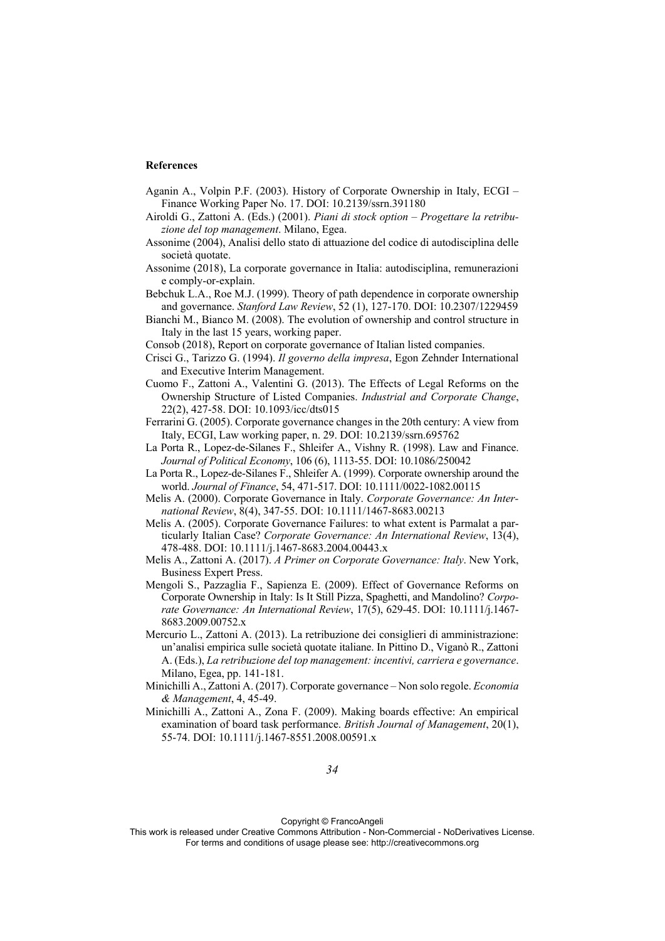#### **References**

- Aganin A., Volpin P.F. (2003). History of Corporate Ownership in Italy, ECGI  $-$ Finance Working Paper No. 17, DOI: 10.2139/ssrn.391180
- Airoldi G., Zattoni A. (Eds.) (2001). Piani di stock option Progettare la retribu*zione del top management*. Milano, Egea.
- Assonime (2004), Analisi dello stato di attuazione del codice di autodisciplina delle società quotate.
- Assonime (2018), La corporate governance in Italia: autodisciplina, remunerazioni e comply-or-explain.
- Bebchuk L.A., Roe M.J. (1999). Theory of path dependence in corporate ownership and governance. Stanford Law Review, 52 (1), 127-170. DOI: 10.2307/1229459
- Bianchi M., Bianco M. (2008). The evolution of ownership and control structure in Italy in the last 15 years, working paper.
- Consob (2018), Report on corporate governance of Italian listed companies.
- Crisci G., Tarizzo G. (1994). *Il governo della impresa*, Egon Zehnder International and Executive Interim Management.
- Cuomo F., Zattoni A., Valentini G. (2013). The Effects of Legal Reforms on the Ownership Structure of Listed Companies. Industrial and Corporate Change, 22(2), 427-58. DOI: 10.1093/icc/dts015
- Ferrarini G. (2005). Corporate governance changes in the 20th century: A view from Italy, ECGI, Law working paper, n. 29. DOI:  $10.2139/\text{ssrn}.695762$
- La Porta R., Lopez-de-Silanes F., Shleifer A., Vishny R. (1998). Law and Finance. Journal of Political Economy, 106 (6), 1113-55. DOI: 10.1086/250042
- La Porta R., Lopez-de-Silanes F., Shleifer A. (1999). Corporate ownership around the world. Journal of Finance, 54, 471-517. DOI: 10.1111/0022-1082.00115
- Melis A. (2000). Corporate Governance in Italy. Corporate Governance: An International Review, 8(4), 347-55. DOI: 10.1111/1467-8683.00213
- Melis A. (2005). Corporate Governance Failures: to what extent is Parmalat a particularly Italian Case? Corporate Governance: An International Review, 13(4), 478-488. DOI: 10.1111/j.1467-8683.2004.00443.x
- Melis A., Zattoni A. (2017). A Primer on Corporate Governance: Italy. New York, Business Expert Press.
- Mengoli S., Pazzaglia F., Sapienza E. (2009). Effect of Governance Reforms on Corporate Ownership in Italy: Is It Still Pizza, Spaghetti, and Mandolino? Corporate Governance: An International Review, 17(5), 629-45. DOI: 10.1111/j.1467-8683.2009.00752.x
- Mercurio L., Zattoni A. (2013). La retribuzione dei consiglieri di amministrazione: un'analisi empirica sulle società quotate italiane. In Pittino D., Viganò R., Zattoni A. (Eds.), La retribuzione del top management: incentivi, carriera e governance. Milano, Egea, pp. 141-181.
- Minichilli A., Zattoni A. (2017). Corporate governance Non solo regole. *Economia & Management*
- Minichilli A., Zattoni A., Zona F. (2009). Making boards effective: An empirical examination of board task performance. British Journal of Management, 20(1), 55-74. DOI: 10.1111/j.1467-8551.2008.00591.x

Copyright © FrancoAngeli